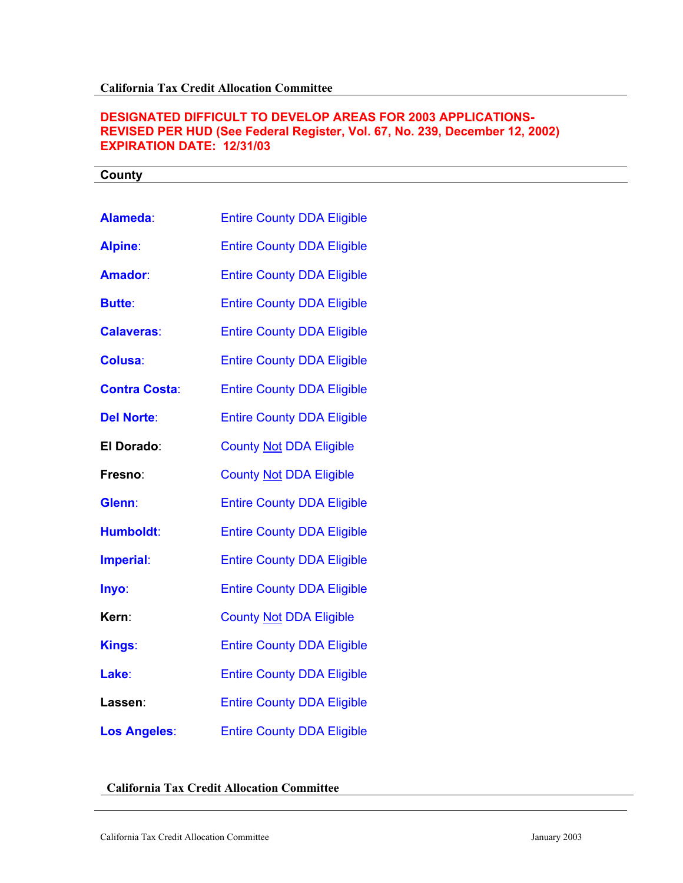## **DESIGNATED DIFFICULT TO DEVELOP AREAS FOR 2003 APPLICATIONS-REVISED PER HUD (See Federal Register, Vol. 67, No. 239, December 12, 2002) EXPIRATION DATE: 12/31/03**

| County               |                                   |
|----------------------|-----------------------------------|
|                      |                                   |
| Alameda:             | <b>Entire County DDA Eligible</b> |
| <b>Alpine:</b>       | <b>Entire County DDA Eligible</b> |
| Amador:              | <b>Entire County DDA Eligible</b> |
| <b>Butte:</b>        | <b>Entire County DDA Eligible</b> |
| <b>Calaveras:</b>    | <b>Entire County DDA Eligible</b> |
| <b>Colusa:</b>       | <b>Entire County DDA Eligible</b> |
| <b>Contra Costa:</b> | <b>Entire County DDA Eligible</b> |
| <b>Del Norte:</b>    | <b>Entire County DDA Eligible</b> |
| El Dorado:           | <b>County Not DDA Eligible</b>    |
| Fresno:              | <b>County Not DDA Eligible</b>    |
| Glenn:               | <b>Entire County DDA Eligible</b> |
| Humboldt:            | <b>Entire County DDA Eligible</b> |
| Imperial:            | <b>Entire County DDA Eligible</b> |
| Inyo:                | <b>Entire County DDA Eligible</b> |
| Kern:                | <b>County Not DDA Eligible</b>    |
| Kings:               | <b>Entire County DDA Eligible</b> |
| Lake:                | <b>Entire County DDA Eligible</b> |
| Lassen:              | <b>Entire County DDA Eligible</b> |
| <b>Los Angeles:</b>  | <b>Entire County DDA Eligible</b> |

## **California Tax Credit Allocation Committee**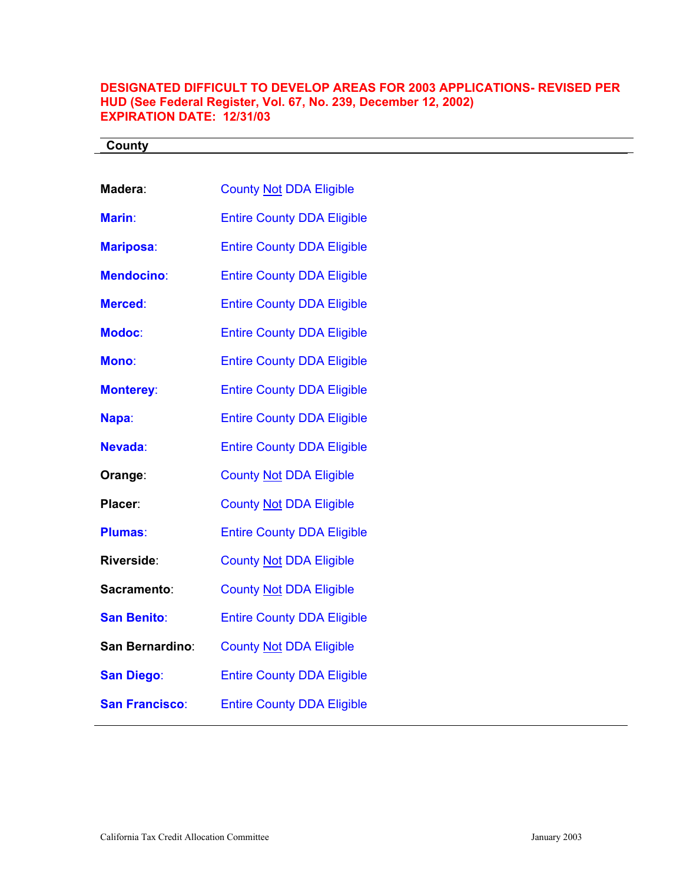## **DESIGNATED DIFFICULT TO DEVELOP AREAS FOR 2003 APPLICATIONS- REVISED PER HUD (See Federal Register, Vol. 67, No. 239, December 12, 2002) EXPIRATION DATE: 12/31/03**

| County                |                                   |
|-----------------------|-----------------------------------|
|                       |                                   |
| Madera:               | <b>County Not DDA Eligible</b>    |
| Marin:                | <b>Entire County DDA Eligible</b> |
| <b>Mariposa:</b>      | <b>Entire County DDA Eligible</b> |
| <b>Mendocino:</b>     | <b>Entire County DDA Eligible</b> |
| <b>Merced:</b>        | <b>Entire County DDA Eligible</b> |
| <b>Modoc:</b>         | <b>Entire County DDA Eligible</b> |
| Mono:                 | <b>Entire County DDA Eligible</b> |
| <b>Monterey:</b>      | <b>Entire County DDA Eligible</b> |
| Napa:                 | <b>Entire County DDA Eligible</b> |
| Nevada:               | <b>Entire County DDA Eligible</b> |
| Orange:               | <b>County Not DDA Eligible</b>    |
| Placer:               | <b>County Not DDA Eligible</b>    |
| <b>Plumas:</b>        | <b>Entire County DDA Eligible</b> |
| Riverside:            | <b>County Not DDA Eligible</b>    |
| Sacramento:           | <b>County Not DDA Eligible</b>    |
| <b>San Benito:</b>    | <b>Entire County DDA Eligible</b> |
| San Bernardino:       | <b>County Not DDA Eligible</b>    |
| <b>San Diego:</b>     | <b>Entire County DDA Eligible</b> |
| <b>San Francisco:</b> | <b>Entire County DDA Eligible</b> |
|                       |                                   |